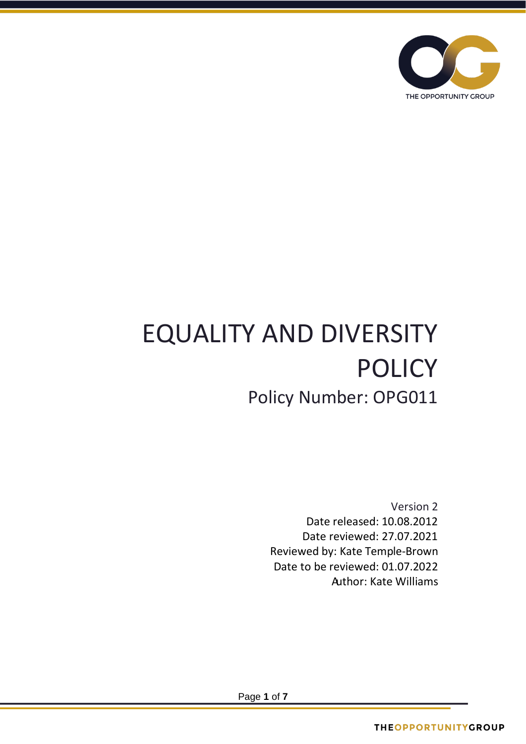

# EQUALITY AND DIVERSITY POLICY Policy Number: OPG011

Version 2 Date released: 10.08.2012 Date reviewed: 27.07.2021 Reviewed by: Kate Temple-Brown Date to be reviewed: 01.07.2022 Author: Kate Williams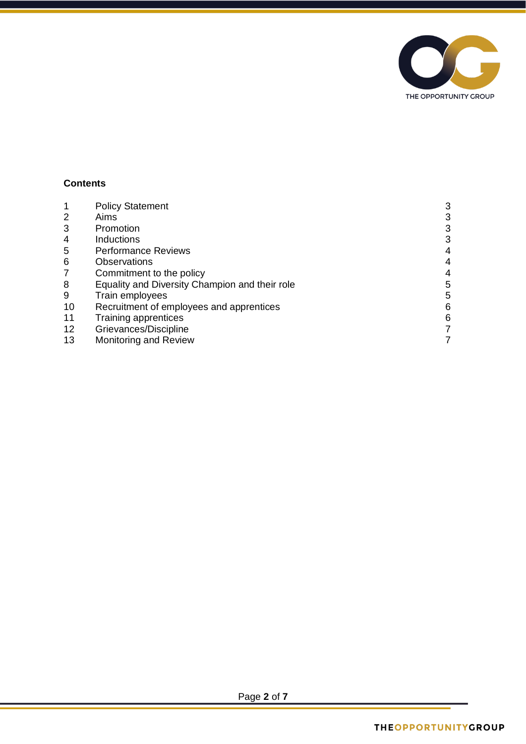

## **Contents**

|                 | <b>Policy Statement</b>                        | 3 |
|-----------------|------------------------------------------------|---|
| 2               | Aims                                           | 3 |
| 3               | Promotion                                      | 3 |
| 4               | <b>Inductions</b>                              | 3 |
| 5               | <b>Performance Reviews</b>                     | 4 |
| 6               | Observations                                   | 4 |
| 7               | Commitment to the policy                       | 4 |
| 8               | Equality and Diversity Champion and their role | 5 |
| 9               | Train employees                                | 5 |
| 10              | Recruitment of employees and apprentices       | 6 |
| 11              | Training apprentices                           | 6 |
| 12 <sub>2</sub> | Grievances/Discipline                          |   |
| 13              | <b>Monitoring and Review</b>                   |   |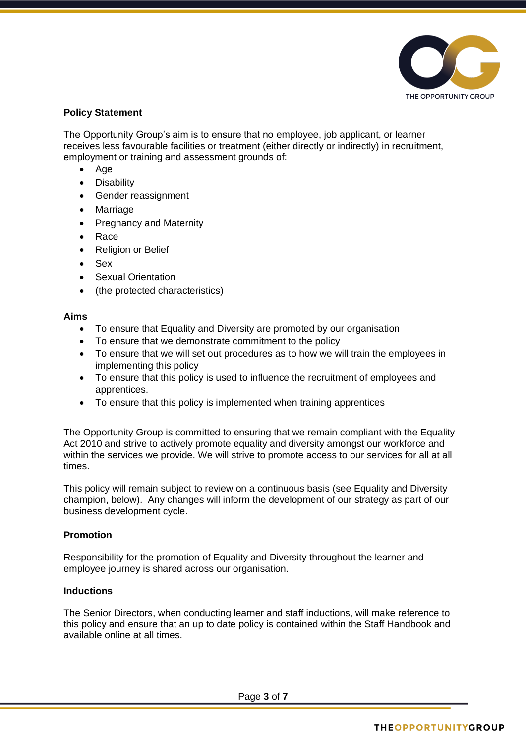

## **Policy Statement**

The Opportunity Group's aim is to ensure that no employee, job applicant, or learner receives less favourable facilities or treatment (either directly or indirectly) in recruitment, employment or training and assessment grounds of:

- Age
- Disability
- Gender reassignment
- Marriage
- Pregnancy and Maternity
- Race
- Religion or Belief
- Sex
- Sexual Orientation
- (the protected characteristics)

#### **Aims**

- To ensure that Equality and Diversity are promoted by our organisation
- To ensure that we demonstrate commitment to the policy
- To ensure that we will set out procedures as to how we will train the employees in implementing this policy
- To ensure that this policy is used to influence the recruitment of employees and apprentices.
- To ensure that this policy is implemented when training apprentices

The Opportunity Group is committed to ensuring that we remain compliant with the Equality Act 2010 and strive to actively promote equality and diversity amongst our workforce and within the services we provide. We will strive to promote access to our services for all at all times.

This policy will remain subject to review on a continuous basis (see Equality and Diversity champion, below). Any changes will inform the development of our strategy as part of our business development cycle.

## **Promotion**

Responsibility for the promotion of Equality and Diversity throughout the learner and employee journey is shared across our organisation.

## **Inductions**

The Senior Directors, when conducting learner and staff inductions, will make reference to this policy and ensure that an up to date policy is contained within the Staff Handbook and available online at all times.

Page **3** of **7**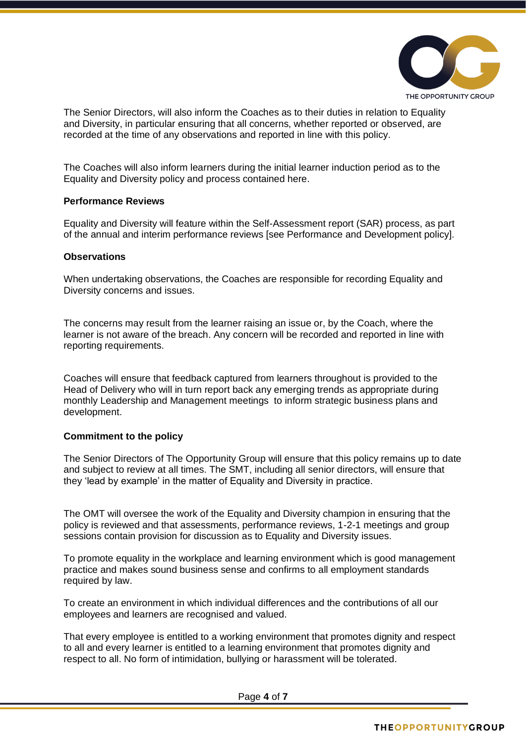

The Senior Directors, will also inform the Coaches as to their duties in relation to Equality and Diversity, in particular ensuring that all concerns, whether reported or observed, are recorded at the time of any observations and reported in line with this policy.

The Coaches will also inform learners during the initial learner induction period as to the Equality and Diversity policy and process contained here.

#### **Performance Reviews**

Equality and Diversity will feature within the Self-Assessment report (SAR) process, as part of the annual and interim performance reviews [see Performance and Development policy].

#### **Observations**

When undertaking observations, the Coaches are responsible for recording Equality and Diversity concerns and issues.

The concerns may result from the learner raising an issue or, by the Coach, where the learner is not aware of the breach. Any concern will be recorded and reported in line with reporting requirements.

Coaches will ensure that feedback captured from learners throughout is provided to the Head of Delivery who will in turn report back any emerging trends as appropriate during monthly Leadership and Management meetings to inform strategic business plans and development.

#### **Commitment to the policy**

The Senior Directors of The Opportunity Group will ensure that this policy remains up to date and subject to review at all times. The SMT, including all senior directors, will ensure that they 'lead by example' in the matter of Equality and Diversity in practice.

The OMT will oversee the work of the Equality and Diversity champion in ensuring that the policy is reviewed and that assessments, performance reviews, 1-2-1 meetings and group sessions contain provision for discussion as to Equality and Diversity issues.

To promote equality in the workplace and learning environment which is good management practice and makes sound business sense and confirms to all employment standards required by law.

To create an environment in which individual differences and the contributions of all our employees and learners are recognised and valued.

That every employee is entitled to a working environment that promotes dignity and respect to all and every learner is entitled to a learning environment that promotes dignity and respect to all. No form of intimidation, bullying or harassment will be tolerated.

Page **4** of **7**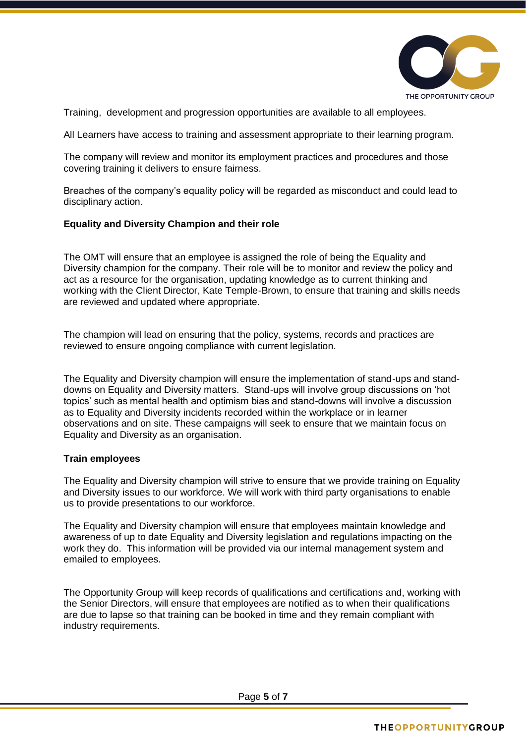

Training, development and progression opportunities are available to all employees.

All Learners have access to training and assessment appropriate to their learning program.

The company will review and monitor its employment practices and procedures and those covering training it delivers to ensure fairness.

Breaches of the company's equality policy will be regarded as misconduct and could lead to disciplinary action.

## **Equality and Diversity Champion and their role**

The OMT will ensure that an employee is assigned the role of being the Equality and Diversity champion for the company. Their role will be to monitor and review the policy and act as a resource for the organisation, updating knowledge as to current thinking and working with the Client Director, Kate Temple-Brown, to ensure that training and skills needs are reviewed and updated where appropriate.

The champion will lead on ensuring that the policy, systems, records and practices are reviewed to ensure ongoing compliance with current legislation.

The Equality and Diversity champion will ensure the implementation of stand-ups and standdowns on Equality and Diversity matters. Stand-ups will involve group discussions on 'hot topics' such as mental health and optimism bias and stand-downs will involve a discussion as to Equality and Diversity incidents recorded within the workplace or in learner observations and on site. These campaigns will seek to ensure that we maintain focus on Equality and Diversity as an organisation.

#### **Train employees**

The Equality and Diversity champion will strive to ensure that we provide training on Equality and Diversity issues to our workforce. We will work with third party organisations to enable us to provide presentations to our workforce.

The Equality and Diversity champion will ensure that employees maintain knowledge and awareness of up to date Equality and Diversity legislation and regulations impacting on the work they do. This information will be provided via our internal management system and emailed to employees.

The Opportunity Group will keep records of qualifications and certifications and, working with the Senior Directors, will ensure that employees are notified as to when their qualifications are due to lapse so that training can be booked in time and they remain compliant with industry requirements.

Page **5** of **7**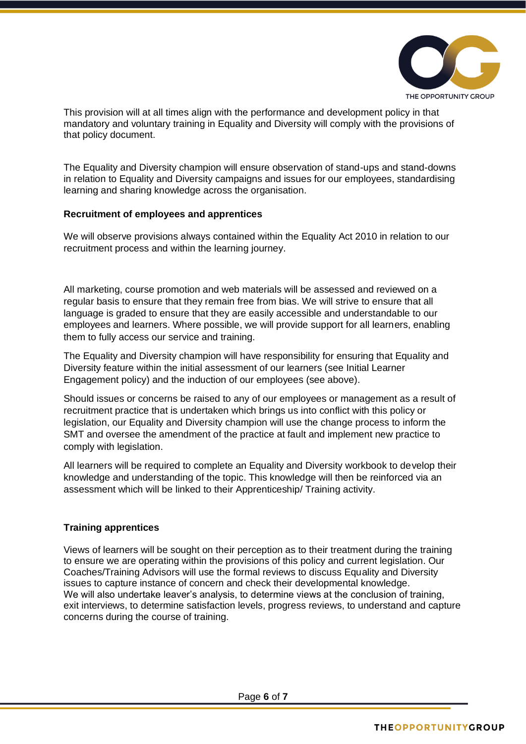

This provision will at all times align with the performance and development policy in that mandatory and voluntary training in Equality and Diversity will comply with the provisions of that policy document.

The Equality and Diversity champion will ensure observation of stand-ups and stand-downs in relation to Equality and Diversity campaigns and issues for our employees, standardising learning and sharing knowledge across the organisation.

## **Recruitment of employees and apprentices**

We will observe provisions always contained within the Equality Act 2010 in relation to our recruitment process and within the learning journey.

All marketing, course promotion and web materials will be assessed and reviewed on a regular basis to ensure that they remain free from bias. We will strive to ensure that all language is graded to ensure that they are easily accessible and understandable to our employees and learners. Where possible, we will provide support for all learners, enabling them to fully access our service and training.

The Equality and Diversity champion will have responsibility for ensuring that Equality and Diversity feature within the initial assessment of our learners (see Initial Learner Engagement policy) and the induction of our employees (see above).

Should issues or concerns be raised to any of our employees or management as a result of recruitment practice that is undertaken which brings us into conflict with this policy or legislation, our Equality and Diversity champion will use the change process to inform the SMT and oversee the amendment of the practice at fault and implement new practice to comply with legislation.

All learners will be required to complete an Equality and Diversity workbook to develop their knowledge and understanding of the topic. This knowledge will then be reinforced via an assessment which will be linked to their Apprenticeship/ Training activity.

## **Training apprentices**

Views of learners will be sought on their perception as to their treatment during the training to ensure we are operating within the provisions of this policy and current legislation. Our Coaches/Training Advisors will use the formal reviews to discuss Equality and Diversity issues to capture instance of concern and check their developmental knowledge. We will also undertake leaver's analysis, to determine views at the conclusion of training, exit interviews, to determine satisfaction levels, progress reviews, to understand and capture concerns during the course of training.